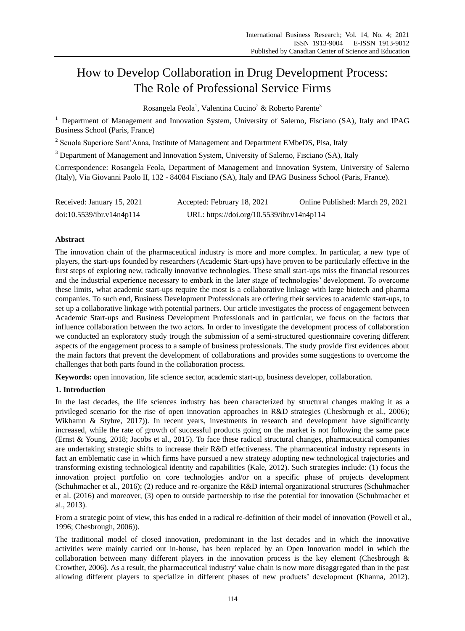# How to Develop Collaboration in Drug Development Process: The Role of Professional Service Firms

Rosangela Feola<sup>1</sup>, Valentina Cucino<sup>2</sup> & Roberto Parente<sup>3</sup>

<sup>1</sup> Department of Management and Innovation System, University of Salerno, Fisciano (SA), Italy and IPAG Business School (Paris, France)

<sup>2</sup> Scuola Superiore Sant'Anna, Institute of Management and Department EMbeDS, Pisa, Italy

<sup>3</sup> Department of Management and Innovation System, University of Salerno, Fisciano (SA), Italy

Correspondence: Rosangela Feola, Department of Management and Innovation System, University of Salerno (Italy), Via Giovanni Paolo II, 132 - 84084 Fisciano (SA), Italy and IPAG Business School (Paris, France).

| Received: January 15, 2021 | Accepted: February 18, 2021                | Online Published: March 29, 2021 |
|----------------------------|--------------------------------------------|----------------------------------|
| doi:10.5539/ibr.v14n4p114  | URL: https://doi.org/10.5539/ibr.v14n4p114 |                                  |

## **Abstract**

The innovation chain of the pharmaceutical industry is more and more complex. In particular, a new type of players, the start-ups founded by researchers (Academic Start-ups) have proven to be particularly effective in the first steps of exploring new, radically innovative technologies. These small start-ups miss the financial resources and the industrial experience necessary to embark in the later stage of technologies' development. To overcome these limits, what academic start-ups require the most is a collaborative linkage with large biotech and pharma companies. To such end, Business Development Professionals are offering their services to academic start-ups, to set up a collaborative linkage with potential partners. Our article investigates the process of engagement between Academic Start-ups and Business Development Professionals and in particular, we focus on the factors that influence collaboration between the two actors. In order to investigate the development process of collaboration we conducted an exploratory study trough the submission of a semi-structured questionnaire covering different aspects of the engagement process to a sample of business professionals. The study provide first evidences about the main factors that prevent the development of collaborations and provides some suggestions to overcome the challenges that both parts found in the collaboration process.

**Keywords:** open innovation, life science sector, academic start-up, business developer, collaboration.

## **1. Introduction**

In the last decades, the life sciences industry has been characterized by structural changes making it as a privileged scenario for the rise of open innovation approaches in R&D strategies (Chesbrough et al., 2006); Wikhamn & Styhre, 2017)). In recent years, investments in research and development have significantly increased, while the rate of growth of successful products going on the market is not following the same pace (Ernst & Young, 2018; Jacobs et al., 2015). To face these radical structural changes, pharmaceutical companies are undertaking strategic shifts to increase their R&D effectiveness. The pharmaceutical industry represents in fact an emblematic case in which firms have pursued a new strategy adopting new technological trajectories and transforming existing technological identity and capabilities (Kale, 2012). Such strategies include: (1) focus the innovation project portfolio on core technologies and/or on a specific phase of projects development (Schuhmacher et al., 2016); (2) reduce and re-organize the R&D internal organizational structures (Schuhmacher et al. (2016) and moreover, (3) open to outside partnership to rise the potential for innovation (Schuhmacher et al., 2013).

From a strategic point of view, this has ended in a radical re-definition of their model of innovation (Powell et al., 1996; Chesbrough, 2006)).

The traditional model of closed innovation, predominant in the last decades and in which the innovative activities were mainly carried out in-house, has been replaced by an Open Innovation model in which the collaboration between many different players in the innovation process is the key element (Chesbrough & Crowther, 2006). As a result, the pharmaceutical industry' value chain is now more disaggregated than in the past allowing different players to specialize in different phases of new products' development (Khanna, 2012).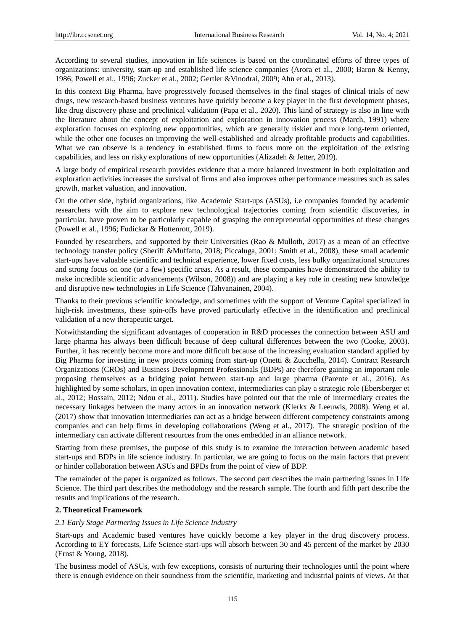According to several studies, innovation in life sciences is based on the coordinated efforts of three types of organizations: university, start-up and established life science companies (Arora et al., 2000; Baron & Kenny, 1986; Powell et al., 1996; Zucker et al., 2002; Gertler &Vinodrai, 2009; Ahn et al., 2013).

In this context Big Pharma, have progressively focused themselves in the final stages of clinical trials of new drugs, new research-based business ventures have quickly become a key player in the first development phases, like drug discovery phase and preclinical validation (Papa et al., 2020). This kind of strategy is also in line with the literature about the concept of exploitation and exploration in innovation process (March, 1991) where exploration focuses on exploring new opportunities, which are generally riskier and more long-term oriented, while the other one focuses on improving the well-established and already profitable products and capabilities. What we can observe is a tendency in established firms to focus more on the exploitation of the existing capabilities, and less on risky explorations of new opportunities (Alizadeh & Jetter, 2019).

A large body of empirical research provides evidence that a more balanced investment in both exploitation and exploration activities increases the survival of firms and also improves other performance measures such as sales growth, market valuation, and innovation.

On the other side, hybrid organizations, like Academic Start-ups (ASUs), i.e companies founded by academic researchers with the aim to explore new technological trajectories coming from scientific discoveries, in particular, have proven to be particularly capable of grasping the entrepreneurial opportunities of these changes (Powell et al., 1996; Fudickar & Hottenrott, 2019).

Founded by researchers, and supported by their Universities (Rao & Mulloth, 2017) as a mean of an effective technology transfer policy (Sheriff &Muffatto, 2018; Piccaluga, 2001; Smith et al., 2008), these small academic start-ups have valuable scientific and technical experience, lower fixed costs, less bulky organizational structures and strong focus on one (or a few) specific areas. As a result, these companies have demonstrated the ability to make incredible scientific advancements (Wilson, 2008)) and are playing a key role in creating new knowledge and disruptive new technologies in Life Science (Tahvanainen, 2004).

Thanks to their previous scientific knowledge, and sometimes with the support of Venture Capital specialized in high-risk investments, these spin-offs have proved particularly effective in the identification and preclinical validation of a new therapeutic target.

Notwithstanding the significant advantages of cooperation in R&D processes the connection between ASU and large pharma has always been difficult because of deep cultural differences between the two (Cooke, 2003). Further, it has recently become more and more difficult because of the increasing evaluation standard applied by Big Pharma for investing in new projects coming from start-up (Onetti & Zucchella, 2014). Contract Research Organizations (CROs) and Business Development Professionals (BDPs) are therefore gaining an important role proposing themselves as a bridging point between start-up and large pharma (Parente et al., 2016). As highlighted by some scholars, in open innovation context, intermediaries can play a strategic role (Ebersberger et al., 2012; Hossain, 2012; Ndou et al., 2011). Studies have pointed out that the role of intermediary creates the necessary linkages between the many actors in an innovation network (Klerkx & Leeuwis, 2008). Weng et al. (2017) show that innovation intermediaries can act as a bridge between different competency constraints among companies and can help firms in developing collaborations (Weng et al., 2017). The strategic position of the intermediary can activate different resources from the ones embedded in an alliance network.

Starting from these premises, the purpose of this study is to examine the interaction between academic based start-ups and BDPs in life science industry. In particular, we are going to focus on the main factors that prevent or hinder collaboration between ASUs and BPDs from the point of view of BDP.

The remainder of the paper is organized as follows. The second part describes the main partnering issues in Life Science. The third part describes the methodology and the research sample. The fourth and fifth part describe the results and implications of the research.

# **2. Theoretical Framework**

#### *2.1 Early Stage Partnering Issues in Life Science Industry*

Start-ups and Academic based ventures have quickly become a key player in the drug discovery process. According to EY forecasts, Life Science start-ups will absorb between 30 and 45 percent of the market by 2030 (Ernst & Young, 2018).

The business model of ASUs, with few exceptions, consists of nurturing their technologies until the point where there is enough evidence on their soundness from the scientific, marketing and industrial points of views. At that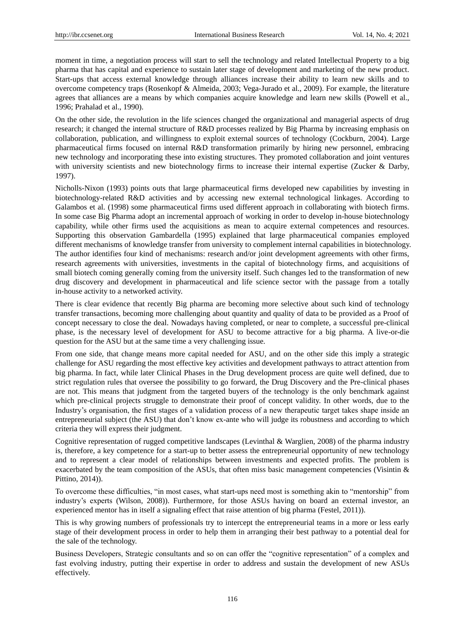moment in time, a negotiation process will start to sell the technology and related Intellectual Property to a big pharma that has capital and experience to sustain later stage of development and marketing of the new product. Start-ups that access external knowledge through alliances increase their ability to learn new skills and to overcome competency traps (Rosenkopf & Almeida, 2003; Vega-Jurado et al., 2009). For example, the literature agrees that alliances are a means by which companies acquire knowledge and learn new skills (Powell et al., 1996; Prahalad et al., 1990).

On the other side, the revolution in the life sciences changed the organizational and managerial aspects of drug research; it changed the internal structure of R&D processes realized by Big Pharma by increasing emphasis on collaboration, publication, and willingness to exploit external sources of technology (Cockburn, 2004). Large pharmaceutical firms focused on internal R&D transformation primarily by hiring new personnel, embracing new technology and incorporating these into existing structures. They promoted collaboration and joint ventures with university scientists and new biotechnology firms to increase their internal expertise (Zucker & Darby, 1997).

Nicholls-Nixon (1993) points outs that large pharmaceutical firms developed new capabilities by investing in biotechnology-related R&D activities and by accessing new external technological linkages. According to Galambos et al. (1998) some pharmaceutical firms used different approach in collaborating with biotech firms. In some case Big Pharma adopt an incremental approach of working in order to develop in-house biotechnology capability, while other firms used the acquisitions as mean to acquire external competences and resources. Supporting this observation Gambardella (1995) explained that large pharmaceutical companies employed different mechanisms of knowledge transfer from university to complement internal capabilities in biotechnology. The author identifies four kind of mechanisms: research and/or joint development agreements with other firms, research agreements with universities, investments in the capital of biotechnology firms, and acquisitions of small biotech coming generally coming from the university itself. Such changes led to the transformation of new drug discovery and development in pharmaceutical and life science sector with the passage from a totally in-house activity to a networked activity.

There is clear evidence that recently Big pharma are becoming more selective about such kind of technology transfer transactions, becoming more challenging about quantity and quality of data to be provided as a Proof of concept necessary to close the deal. Nowadays having completed, or near to complete, a successful pre-clinical phase, is the necessary level of development for ASU to become attractive for a big pharma. A live-or-die question for the ASU but at the same time a very challenging issue.

From one side, that change means more capital needed for ASU, and on the other side this imply a strategic challenge for ASU regarding the most effective key activities and development pathways to attract attention from big pharma. In fact, while later Clinical Phases in the Drug development process are quite well defined, due to strict regulation rules that oversee the possibility to go forward, the Drug Discovery and the Pre-clinical phases are not. This means that judgment from the targeted buyers of the technology is the only benchmark against which pre-clinical projects struggle to demonstrate their proof of concept validity. In other words, due to the Industry's organisation, the first stages of a validation process of a new therapeutic target takes shape inside an entrepreneurial subject (the ASU) that don't know ex-ante who will judge its robustness and according to which criteria they will express their judgment.

Cognitive representation of rugged competitive landscapes (Levinthal & Warglien, 2008) of the pharma industry is, therefore, a key competence for a start-up to better assess the entrepreneurial opportunity of new technology and to represent a clear model of relationships between investments and expected profits. The problem is exacerbated by the team composition of the ASUs, that often miss basic management competencies (Visintin & Pittino, 2014)).

To overcome these difficulties, "in most cases, what start-ups need most is something akin to "mentorship" from industry's experts (Wilson, 2008)). Furthermore, for those ASUs having on board an external investor, an experienced mentor has in itself a signaling effect that raise attention of big pharma (Festel, 2011)).

This is why growing numbers of professionals try to intercept the entrepreneurial teams in a more or less early stage of their development process in order to help them in arranging their best pathway to a potential deal for the sale of the technology.

Business Developers, Strategic consultants and so on can offer the "cognitive representation" of a complex and fast evolving industry, putting their expertise in order to address and sustain the development of new ASUs effectively.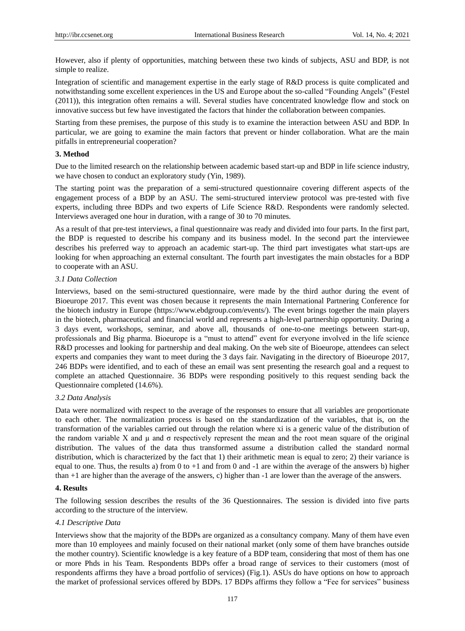However, also if plenty of opportunities, matching between these two kinds of subjects, ASU and BDP, is not simple to realize.

Integration of scientific and management expertise in the early stage of R&D process is quite complicated and notwithstanding some excellent experiences in the US and Europe about the so-called "Founding Angels" (Festel (2011)), this integration often remains a will. Several studies have concentrated knowledge flow and stock on innovative success but few have investigated the factors that hinder the collaboration between companies.

Starting from these premises, the purpose of this study is to examine the interaction between ASU and BDP. In particular, we are going to examine the main factors that prevent or hinder collaboration. What are the main pitfalls in entrepreneurial cooperation?

## **3. Method**

Due to the limited research on the relationship between academic based start-up and BDP in life science industry, we have chosen to conduct an exploratory study (Yin, 1989).

The starting point was the preparation of a semi-structured questionnaire covering different aspects of the engagement process of a BDP by an ASU. The semi-structured interview protocol was pre-tested with five experts, including three BDPs and two experts of Life Science R&D. Respondents were randomly selected. Interviews averaged one hour in duration, with a range of 30 to 70 minutes.

As a result of that pre-test interviews, a final questionnaire was ready and divided into four parts. In the first part, the BDP is requested to describe his company and its business model. In the second part the interviewee describes his preferred way to approach an academic start-up. The third part investigates what start-ups are looking for when approaching an external consultant. The fourth part investigates the main obstacles for a BDP to cooperate with an ASU.

#### *3.1 Data Collection*

Interviews, based on the semi-structured questionnaire, were made by the third author during the event of Bioeurope 2017. This event was chosen because it represents the main International Partnering Conference for the biotech industry in Europe (https://www.ebdgroup.com/events/). The event brings together the main players in the biotech, pharmaceutical and financial world and represents a high-level partnership opportunity. During a 3 days event, workshops, seminar, and above all, thousands of one-to-one meetings between start-up, professionals and Big pharma. Bioeurope is a "must to attend" event for everyone involved in the life science R&D processes and looking for partnership and deal making. On the web site of Bioeurope, attendees can select experts and companies they want to meet during the 3 days fair. Navigating in the directory of Bioeurope 2017, 246 BDPs were identified, and to each of these an email was sent presenting the research goal and a request to complete an attached Questionnaire. 36 BDPs were responding positively to this request sending back the Questionnaire completed (14.6%).

#### *3.2 Data Analysis*

Data were normalized with respect to the average of the responses to ensure that all variables are proportionate to each other. The normalization process is based on the standardization of the variables, that is, on the transformation of the variables carried out through the relation where xi is a generic value of the distribution of the random variable X and  $\mu$  and  $\sigma$  respectively represent the mean and the root mean square of the original distribution. The values of the data thus transformed assume a distribution called the standard normal distribution, which is characterized by the fact that 1) their arithmetic mean is equal to zero; 2) their variance is equal to one. Thus, the results a) from  $0$  to  $+1$  and from  $0$  and  $-1$  are within the average of the answers b) higher than +1 are higher than the average of the answers, c) higher than -1 are lower than the average of the answers.

## **4. Results**

The following session describes the results of the 36 Questionnaires. The session is divided into five parts according to the structure of the interview.

#### *4.1 Descriptive Data*

Interviews show that the majority of the BDPs are organized as a consultancy company. Many of them have even more than 10 employees and mainly focused on their national market (only some of them have branches outside the mother country). Scientific knowledge is a key feature of a BDP team, considering that most of them has one or more Phds in his Team. Respondents BDPs offer a broad range of services to their customers (most of respondents affirms they have a broad portfolio of services) (Fig.1). ASUs do have options on how to approach the market of professional services offered by BDPs. 17 BDPs affirms they follow a "Fee for services" business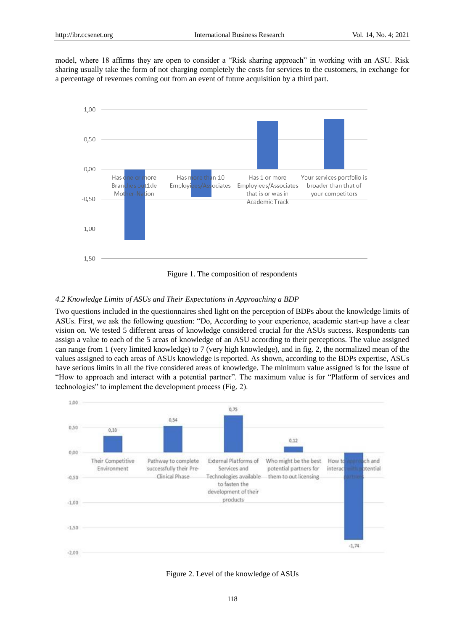model, where 18 affirms they are open to consider a "Risk sharing approach" in working with an ASU. Risk sharing usually take the form of not charging completely the costs for services to the customers, in exchange for a percentage of revenues coming out from an event of future acquisition by a third part.



Figure 1. The composition of respondents

# *4.2 Knowledge Limits of ASUs and Their Expectations in Approaching a BDP*

Two questions included in the questionnaires shed light on the perception of BDPs about the knowledge limits of ASUs. First, we ask the following question: "Do, According to your experience, academic start-up have a clear vision on. We tested 5 different areas of knowledge considered crucial for the ASUs success. Respondents can assign a value to each of the 5 areas of knowledge of an ASU according to their perceptions. The value assigned can range from 1 (very limited knowledge) to 7 (very high knowledge), and in fig. 2, the normalized mean of the values assigned to each areas of ASUs knowledge is reported. As shown, according to the BDPs expertise, ASUs have serious limits in all the five considered areas of knowledge. The minimum value assigned is for the issue of "How to approach and interact with a potential partner". The maximum value is for "Platform of services and technologies" to implement the development process (Fig. 2).



Figure 2. Level of the knowledge of ASUs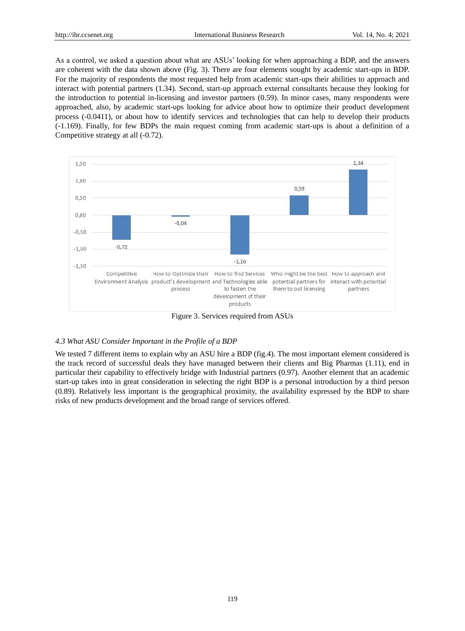As a control, we asked a question about what are ASUs' looking for when approaching a BDP, and the answers are coherent with the data shown above (Fig. 3). There are four elements sought by academic start-ups in BDP. For the majority of respondents the most requested help from academic start-ups their abilities to approach and interact with potential partners (1.34). Second, start-up approach external consultants because they looking for the introduction to potential in-licensing and investor partners (0.59). In minor cases, many respondents were approached, also, by academic start-ups looking for advice about how to optimize their product development process (-0.0411), or about how to identify services and technologies that can help to develop their products (-1.169). Finally, for few BDPs the main request coming from academic start-ups is about a definition of a Competitive strategy at all (-0.72).



Figure 3. Services required from ASUs

# *4.3 What ASU Consider Important in the Profile of a BDP*

We tested 7 different items to explain why an ASU hire a BDP (fig.4). The most important element considered is the track record of successful deals they have managed between their clients and Big Pharmas (1.11), end in particular their capability to effectively bridge with Industrial partners (0.97). Another element that an academic start-up takes into in great consideration in selecting the right BDP is a personal introduction by a third person (0.89). Relatively less important is the geographical proximity, the availability expressed by the BDP to share risks of new products development and the broad range of services offered.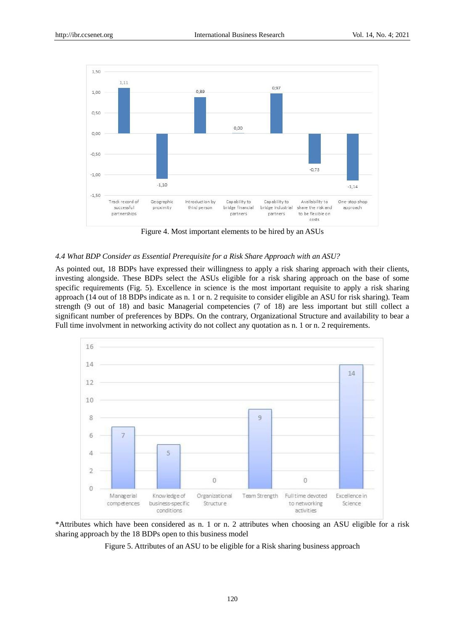

Figure 4. Most important elements to be hired by an ASUs

## *4.4 What BDP Consider as Essential Prerequisite for a Risk Share Approach with an ASU?*

As pointed out, 18 BDPs have expressed their willingness to apply a risk sharing approach with their clients, investing alongside. These BDPs select the ASUs eligible for a risk sharing approach on the base of some specific requirements (Fig. 5). Excellence in science is the most important requisite to apply a risk sharing approach (14 out of 18 BDPs indicate as n. 1 or n. 2 requisite to consider eligible an ASU for risk sharing). Team strength (9 out of 18) and basic Managerial competencies (7 of 18) are less important but still collect a significant number of preferences by BDPs. On the contrary, Organizational Structure and availability to bear a Full time involvment in networking activity do not collect any quotation as n. 1 or n. 2 requirements.



\*Attributes which have been considered as n. 1 or n. 2 attributes when choosing an ASU eligible for a risk sharing approach by the 18 BDPs open to this business model

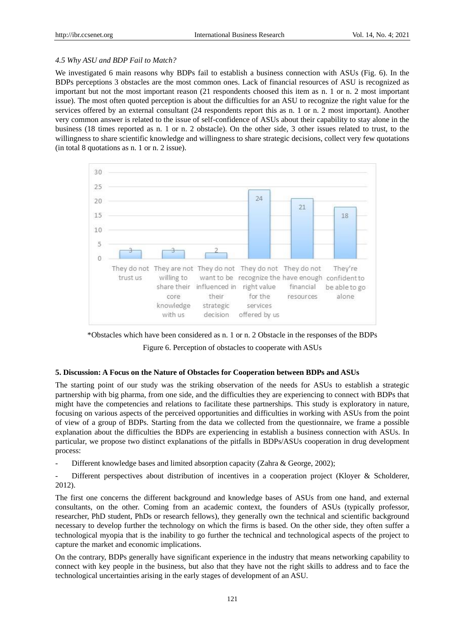## *4.5 Why ASU and BDP Fail to Match?*

We investigated 6 main reasons why BDPs fail to establish a business connection with ASUs (Fig. 6). In the BDPs perceptions 3 obstacles are the most common ones. Lack of financial resources of ASU is recognized as important but not the most important reason (21 respondents choosed this item as n. 1 or n. 2 most important issue). The most often quoted perception is about the difficulties for an ASU to recognize the right value for the services offered by an external consultant (24 respondents report this as n. 1 or n. 2 most important). Another very common answer is related to the issue of self-confidence of ASUs about their capability to stay alone in the business (18 times reported as n. 1 or n. 2 obstacle). On the other side, 3 other issues related to trust, to the willingness to share scientific knowledge and willingness to share strategic decisions, collect very few quotations (in total 8 quotations as n. 1 or n. 2 issue).



\*Obstacles which have been considered as n. 1 or n. 2 Obstacle in the responses of the BDPs Figure 6. Perception of obstacles to cooperate with ASUs

#### **5. Discussion: A Focus on the Nature of Obstacles for Cooperation between BDPs and ASUs**

The starting point of our study was the striking observation of the needs for ASUs to establish a strategic partnership with big pharma, from one side, and the difficulties they are experiencing to connect with BDPs that might have the competencies and relations to facilitate these partnerships. This study is exploratory in nature, focusing on various aspects of the perceived opportunities and difficulties in working with ASUs from the point of view of a group of BDPs. Starting from the data we collected from the questionnaire, we frame a possible explanation about the difficulties the BDPs are experiencing in establish a business connection with ASUs. In particular, we propose two distinct explanations of the pitfalls in BDPs/ASUs cooperation in drug development process:

Different knowledge bases and limited absorption capacity (Zahra & George, 2002);

Different perspectives about distribution of incentives in a cooperation project (Kloyer & Scholderer, 2012).

The first one concerns the different background and knowledge bases of ASUs from one hand, and external consultants, on the other. Coming from an academic context, the founders of ASUs (typically professor, researcher, PhD student, PhDs or research fellows), they generally own the technical and scientific background necessary to develop further the technology on which the firms is based. On the other side, they often suffer a technological myopia that is the inability to go further the technical and technological aspects of the project to capture the market and economic implications.

On the contrary, BDPs generally have significant experience in the industry that means networking capability to connect with key people in the business, but also that they have not the right skills to address and to face the technological uncertainties arising in the early stages of development of an ASU.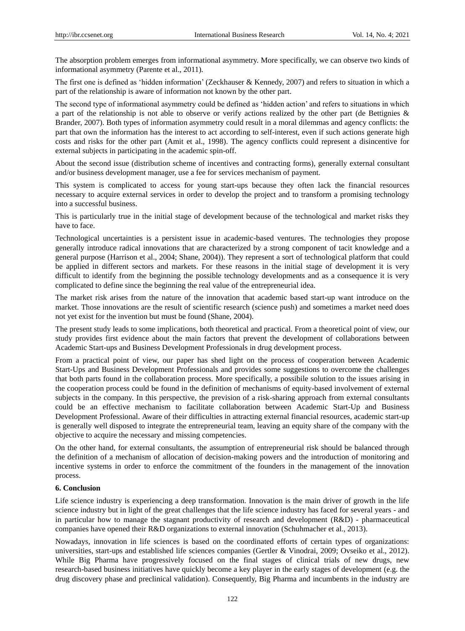The absorption problem emerges from informational asymmetry. More specifically, we can observe two kinds of informational asymmetry (Parente et al., 2011).

The first one is defined as 'hidden information' (Zeckhauser & Kennedy, 2007) and refers to situation in which a part of the relationship is aware of information not known by the other part.

The second type of informational asymmetry could be defined as 'hidden action' and refers to situations in which a part of the relationship is not able to observe or verify actions realized by the other part (de Bettignies & Brander, 2007). Both types of information asymmetry could result in a moral dilemmas and agency conflicts: the part that own the information has the interest to act according to self-interest, even if such actions generate high costs and risks for the other part (Amit et al., 1998). The agency conflicts could represent a disincentive for external subjects in participating in the academic spin-off.

About the second issue (distribution scheme of incentives and contracting forms), generally external consultant and/or business development manager, use a fee for services mechanism of payment.

This system is complicated to access for young start-ups because they often lack the financial resources necessary to acquire external services in order to develop the project and to transform a promising technology into a successful business.

This is particularly true in the initial stage of development because of the technological and market risks they have to face.

Technological uncertainties is a persistent issue in academic-based ventures. The technologies they propose generally introduce radical innovations that are characterized by a strong component of tacit knowledge and a general purpose (Harrison et al., 2004; Shane, 2004)). They represent a sort of technological platform that could be applied in different sectors and markets. For these reasons in the initial stage of development it is very difficult to identify from the beginning the possible technology developments and as a consequence it is very complicated to define since the beginning the real value of the entrepreneurial idea.

The market risk arises from the nature of the innovation that academic based start-up want introduce on the market. Those innovations are the result of scientific research (science push) and sometimes a market need does not yet exist for the invention but must be found (Shane, 2004).

The present study leads to some implications, both theoretical and practical. From a theoretical point of view, our study provides first evidence about the main factors that prevent the development of collaborations between Academic Start-ups and Business Development Professionals in drug development process.

From a practical point of view, our paper has shed light on the process of cooperation between Academic Start-Ups and Business Development Professionals and provides some suggestions to overcome the challenges that both parts found in the collaboration process. More specifically, a possibile solution to the issues arising in the cooperation process could be found in the definition of mechanisms of equity-based involvement of external subjects in the company. In this perspective, the prevision of a risk-sharing approach from external consultants could be an effective mechanism to facilitate collaboration between Academic Start-Up and Business Development Professional. Aware of their difficulties in attracting external financial resources, academic start-up is generally well disposed to integrate the entrepreneurial team, leaving an equity share of the company with the objective to acquire the necessary and missing competencies.

On the other hand, for external consultants, the assumption of entrepreneurial risk should be balanced through the definition of a mechanism of allocation of decision-making powers and the introduction of monitoring and incentive systems in order to enforce the commitment of the founders in the management of the innovation process.

## **6. Conclusion**

Life science industry is experiencing a deep transformation. Innovation is the main driver of growth in the life science industry but in light of the great challenges that the life science industry has faced for several years - and in particular how to manage the stagnant productivity of research and development (R&D) - pharmaceutical companies have opened their R&D organizations to external innovation (Schuhmacher et al., 2013).

Nowadays, innovation in life sciences is based on the coordinated efforts of certain types of organizations: universities, start-ups and established life sciences companies (Gertler & Vinodrai, 2009; Ovseiko et al., 2012). While Big Pharma have progressively focused on the final stages of clinical trials of new drugs, new research-based business initiatives have quickly become a key player in the early stages of development (e.g. the drug discovery phase and preclinical validation). Consequently, Big Pharma and incumbents in the industry are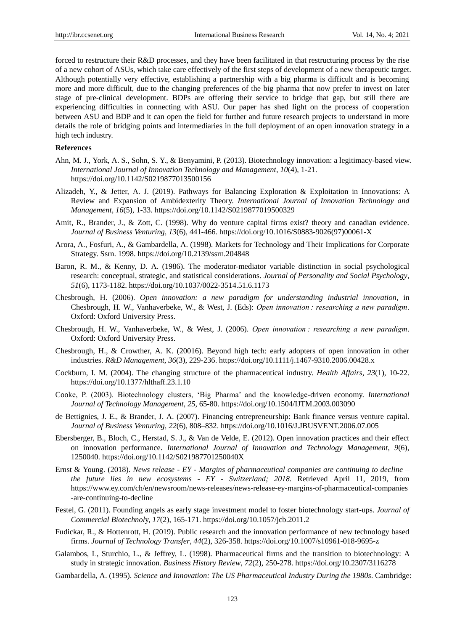forced to restructure their R&D processes, and they have been facilitated in that restructuring process by the rise of a new cohort of ASUs, which take care effectively of the first steps of development of a new therapeutic target. Although potentially very effective, establishing a partnership with a big pharma is difficult and is becoming more and more difficult, due to the changing preferences of the big pharma that now prefer to invest on later stage of pre-clinical development. BDPs are offering their service to bridge that gap, but still there are experiencing difficulties in connecting with ASU. Our paper has shed light on the process of cooperation between ASU and BDP and it can open the field for further and future research projects to understand in more details the role of bridging points and intermediaries in the full deployment of an open innovation strategy in a high tech industry.

## **References**

- Ahn, M. J., York, A. S., Sohn, S. Y., & Benyamini, P. (2013). Biotechnology innovation: a legitimacy-based view. *International Journal of Innovation Technology and Management*, *10*(4), 1-21. <https://doi.org/10.1142/S0219877013500156>
- Alizadeh, Y., & Jetter, A. J. (2019). Pathways for Balancing Exploration & Exploitation in Innovations: A Review and Expansion of Ambidexterity Theory. *International Journal of Innovation Technology and Management*, *16*(5), 1-33. https://doi.org/10.1142/S0219877019500329
- Amit, R., Brander, J., & Zott, C. (1998). Why do venture capital firms exist? theory and canadian evidence. *Journal of Business Venturing*, *13*(6), 441-466. https://doi.org/10.1016/S0883-9026(97)00061-X
- Arora, A., Fosfuri, A., & Gambardella, A. (1998). Markets for Technology and Their Implications for Corporate Strategy. Ssrn. 1998. https://doi.org/10.2139/ssrn.204848
- Baron, R. M., & Kenny, D. A. (1986). The moderator-mediator variable distinction in social psychological research: conceptual, strategic, and statistical considerations. *Journal of Personality and Social Psychology*, *51*(6), 1173-1182. https://doi.org/10.1037/0022-3514.51.6.1173
- Chesbrough, H. (2006). *Open innovation: a new paradigm for understanding industrial innovation*, in Chesbrough, H. W., Vanhaverbeke, W., & West, J. (Eds): *Open innovation : researching a new paradigm*. Oxford: Oxford University Press.
- Chesbrough, H. W., Vanhaverbeke, W., & West, J. (2006). *Open innovation : researching a new paradigm*. Oxford: Oxford University Press.
- Chesbrough, H., & Crowther, A. K. (20016). Beyond high tech: early adopters of open innovation in other industries. *R&D Management*, *36*(3), 229-236[. https://doi.org/10.1111/j.1467-9310.2006.00428.x](https://doi.org/10.1111/j.1467-9310.2006.00428.x)
- Cockburn, I. M. (2004). The changing structure of the pharmaceutical industry. *Health Affairs*, *23*(1), 10-22. https://doi.org/10.1377/hlthaff.23.1.10
- Cooke, P. (2003). Biotechnology clusters, ‗Big Pharma' and the knowledge-driven economy. *International Journal of Technology Management*, *25*, 65-80. https://doi.org/10.1504/IJTM.2003.003090
- de Bettignies, J. E., & Brander, J. A. (2007). Financing entrepreneurship: Bank finance versus venture capital. *Journal of Business Venturing*, *22*(6), 808–832.<https://doi.org/10.1016/J.JBUSVENT.2006.07.005>
- Ebersberger, B., Bloch, C., Herstad, S. J., & Van de Velde, E. (2012). Open innovation practices and their effect on innovation performance. *International Journal of Innovation and Technology Management*, *9*(6), 1250040. https://doi.org/10.1142/S021987701250040X
- Ernst & Young. (2018). *News release - EY - Margins of pharmaceutical companies are continuing to decline – the future lies in new ecosystems - EY - Switzerland; 2018.* Retrieved April 11, 2019, from https://www.ey.com/ch/en/newsroom/news-releases/news-release-ey-margins-of-pharmaceutical-companies -are-continuing-to-decline
- Festel, G. (2011). Founding angels as early stage investment model to foster biotechnology start-ups. *Journal of Commercial Biotechnol*y, *17*(2), 165-171. https://doi.org/10.1057/jcb.2011.2
- Fudickar, R., & Hottenrott, H. (2019). Public research and the innovation performance of new technology based firms. *Journal of Technology Transfer*, *44*(2), 326-358. https://doi.org/10.1007/s10961-018-9695-z
- Galambos, L, Sturchio, L., & Jeffrey, L. (1998). Pharmaceutical firms and the transition to biotechnology: A study in strategic innovation. *Business History Review*, *72*(2), 250-278. https://doi.org/10.2307/3116278
- Gambardella, A. (1995). *Science and Innovation: The US Pharmaceutical Industry During the 1980s*. Cambridge: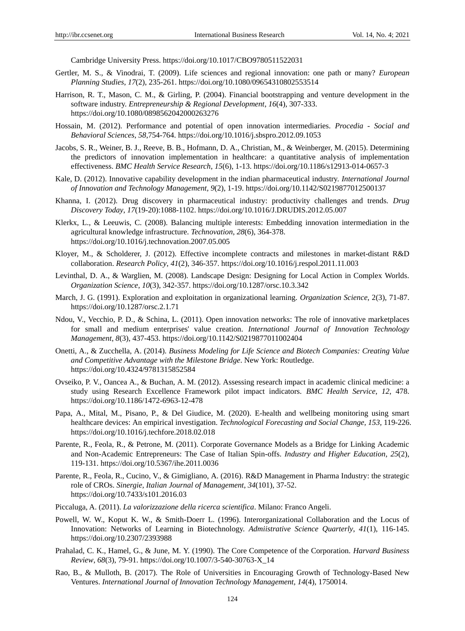Cambridge University Press. https://doi.org/10.1017/CBO9780511522031

- Gertler, M. S., & Vinodrai, T. (2009). Life sciences and regional innovation: one path or many? *European Planning Studies*, *17*(2), 235-261. https://doi.org/10.1080/09654310802553514
- Harrison, R. T., Mason, C. M., & Girling, P. (2004). Financial bootstrapping and venture development in the software industry. *Entrepreneurship & Regional Development*, *16*(4), 307-333. <https://doi.org/10.1080/0898562042000263276>
- Hossain, M. (2012). Performance and potential of open innovation intermediaries. *Procedia - Social and Behavioral Sciences*, *58*,754-764. https://doi.org/10.1016/j.sbspro.2012.09.1053
- Jacobs, S. R., Weiner, B. J., Reeve, B. B., Hofmann, D. A., Christian, M., & Weinberger, M. (2015). Determining the predictors of innovation implementation in healthcare: a quantitative analysis of implementation effectiveness. *BMC Health Service Research*, *15*(6), 1-13.<https://doi.org/10.1186/s12913-014-0657-3>
- Kale, D. (2012). Innovative capability development in the indian pharmaceutical industry. *International Journal of Innovation and Technology Management, 9*(2), 1-19. https://doi.org/10.1142/S0219877012500137
- Khanna, I. (2012). Drug discovery in pharmaceutical industry: productivity challenges and trends. *Drug Discovery Today*, *17*(19-20):1088-1102.<https://doi.org/10.1016/J.DRUDIS.2012.05.007>
- Klerkx, L., & Leeuwis, C. (2008). Balancing multiple interests: Embedding innovation intermediation in the agricultural knowledge infrastructure. *Technovation*, *28*(6), 364-378. https://doi.org/10.1016/j.technovation.2007.05.005
- Kloyer, M., & Scholderer, J. (2012). Effective incomplete contracts and milestones in market-distant R&D collaboration. *Research Policy*, *41*(2), 346-357. https://doi.org/10.1016/j.respol.2011.11.003
- Levinthal, D. A., & Warglien, M. (2008). Landscape Design: Designing for Local Action in Complex Worlds. *Organization Science*, *10*(3), 342-357.<https://doi.org/10.1287/orsc.10.3.342>
- March, J. G. (1991). Exploration and exploitation in organizational learning. *Organization Science*, 2(3), 71-87. https://doi.org/10.1287/orsc.2.1.71
- Ndou, V., Vecchio, P. D., & Schina, L. (2011). Open innovation networks: The role of innovative marketplaces for small and medium enterprises' value creation. *International Journal of Innovation Technology Management*, *8*(3), 437-453. https://doi.org/10.1142/S0219877011002404
- Onetti, A., & Zucchella, A. (2014). *Business Modeling for Life Science and Biotech Companies: Creating Value and Competitive Advantage with the Milestone Bridge*. New York: Routledge. https://doi.org/10.4324/9781315852584
- Ovseiko, P. V., Oancea A., & Buchan, A. M. (2012). Assessing research impact in academic clinical medicine: a study using Research Excellence Framework pilot impact indicators. *BMC Health Service*, *12*, 478. <https://doi.org/10.1186/1472-6963-12-478>
- Papa, A., Mital, M., Pisano, P., & Del Giudice, M. (2020). E-health and wellbeing monitoring using smart healthcare devices: An empirical investigation. *Technological Forecasting and Social Change, 153,* 119-226. https://doi.org/10.1016/j.techfore.2018.02.018
- Parente, R., Feola, R., & Petrone, M. (2011). Corporate Governance Models as a Bridge for Linking Academic and Non-Academic Entrepreneurs: The Case of Italian Spin-offs. *Industry and Higher Education*, *25*(2), 119-131. https://doi.org/10.5367/ihe.2011.0036
- Parente, R., Feola, R., Cucino, V., & Gimigliano, A. (2016). R&D Management in Pharma Industry: the strategic role of CROs. *Sinergie, Italian Journal of Management*, *34*(101), 37-52. https://doi.org/10.7433/s101.2016.03
- Piccaluga, A. (2011). *La valorizzazione della ricerca scientifica*. Milano: Franco Angeli.
- Powell, W. W., Koput K. W., & Smith-Doerr L. (1996). Interorganizational Collaboration and the Locus of Innovation: Networks of Learning in Biotechnology. *Admiistrative Science Quarterly*, *41*(1), 116-145. <https://doi.org/10.2307/2393988>
- Prahalad, C. K., Hamel, G., & June, M. Y. (1990). The Core Competence of the Corporation. *Harvard Business Review*, *68*(3), 79-91. [https://doi.org/10.1007/3-540-30763-X\\_14](https://doi.org/10.1007/3-540-30763-X_14)
- Rao, B., & Mulloth, B. (2017). The Role of Universities in Encouraging Growth of Technology-Based New Ventures. *International Journal of Innovation Technology Management*, *14*(4), 1750014.